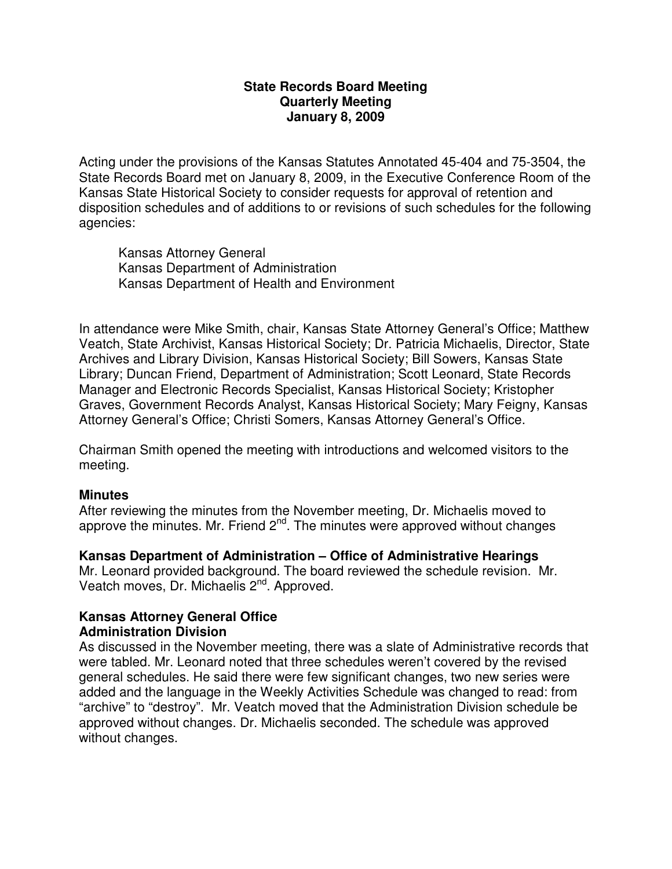## **State Records Board Meeting Quarterly Meeting January 8, 2009**

Acting under the provisions of the Kansas Statutes Annotated 45-404 and 75-3504, the State Records Board met on January 8, 2009, in the Executive Conference Room of the Kansas State Historical Society to consider requests for approval of retention and disposition schedules and of additions to or revisions of such schedules for the following agencies:

Kansas Attorney General Kansas Department of Administration Kansas Department of Health and Environment

In attendance were Mike Smith, chair, Kansas State Attorney General's Office; Matthew Veatch, State Archivist, Kansas Historical Society; Dr. Patricia Michaelis, Director, State Archives and Library Division, Kansas Historical Society; Bill Sowers, Kansas State Library; Duncan Friend, Department of Administration; Scott Leonard, State Records Manager and Electronic Records Specialist, Kansas Historical Society; Kristopher Graves, Government Records Analyst, Kansas Historical Society; Mary Feigny, Kansas Attorney General's Office; Christi Somers, Kansas Attorney General's Office.

Chairman Smith opened the meeting with introductions and welcomed visitors to the meeting.

# **Minutes**

After reviewing the minutes from the November meeting, Dr. Michaelis moved to approve the minutes. Mr. Friend  $2^{nd}$ . The minutes were approved without changes

# **Kansas Department of Administration – Office of Administrative Hearings**

Mr. Leonard provided background. The board reviewed the schedule revision. Mr. Veatch moves, Dr. Michaelis 2<sup>nd</sup>. Approved.

# **Kansas Attorney General Office Administration Division**

As discussed in the November meeting, there was a slate of Administrative records that were tabled. Mr. Leonard noted that three schedules weren't covered by the revised general schedules. He said there were few significant changes, two new series were added and the language in the Weekly Activities Schedule was changed to read: from "archive" to "destroy". Mr. Veatch moved that the Administration Division schedule be approved without changes. Dr. Michaelis seconded. The schedule was approved without changes.